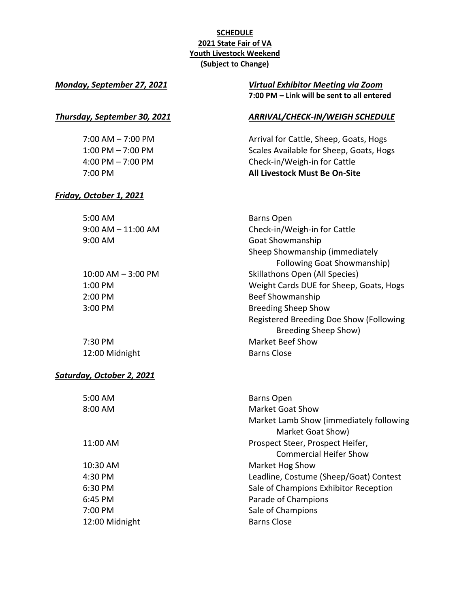### **SCHEDULE 2021 State Fair of VA Youth Livestock Weekend (Subject to Change)**

*Friday, October 1, 2021*

#### *Monday, September 27, 2021 Virtual Exhibitor Meeting via Zoom* **7:00 PM – Link will be sent to all entered**

#### *Thursday, September 30, 2021 ARRIVAL/CHECK-IN/WEIGH SCHEDULE*

7:00 AM – 7:00 PM **Arrival for Cattle, Sheep, Goats, Hogs** 1:00 PM – 7:00 PM **Scales Available for Sheep, Goats, Hogs** 4:00 PM – 7:00 PM Check-in/Weigh-in for Cattle 7:00 PM **All Livestock Must Be On-Site**

| 5:00 AM                | <b>Barns Open</b>                       |
|------------------------|-----------------------------------------|
| $9:00$ AM $-11:00$ AM  | Check-in/Weigh-in for Cattle            |
| 9:00 AM                | Goat Showmanship                        |
|                        | Sheep Showmanship (immediately          |
|                        | <b>Following Goat Showmanship)</b>      |
| $10:00$ AM $-$ 3:00 PM | Skillathons Open (All Species)          |
| 1:00 PM                | Weight Cards DUE for Sheep, Goats, Hogs |
| 2:00 PM                | Beef Showmanship                        |
| $3:00$ PM              | <b>Breeding Sheep Show</b>              |
|                        | Registered Breeding Doe Show (Following |
|                        | Breeding Sheep Show)                    |
| $7:30$ PM              | Market Beef Show                        |

12:00 Midnight Barns Close

## *Saturday, October 2, 2021*

| $5:00$ AM         | <b>Barns Open</b>                       |
|-------------------|-----------------------------------------|
| 8:00 AM           | Market Goat Show                        |
|                   | Market Lamb Show (immediately following |
|                   | Market Goat Show)                       |
| 11:00 AM          | Prospect Steer, Prospect Heifer,        |
|                   | Commercial Heifer Show                  |
| $10:30$ AM        | Market Hog Show                         |
| 4:30 PM           | Leadline, Costume (Sheep/Goat) Contest  |
| $6:30 \text{ PM}$ | Sale of Champions Exhibitor Reception   |
| $6:45$ PM         | Parade of Champions                     |
| $7:00 \text{ PM}$ | Sale of Champions                       |
| 12:00 Midnight    | <b>Barns Close</b>                      |
|                   |                                         |